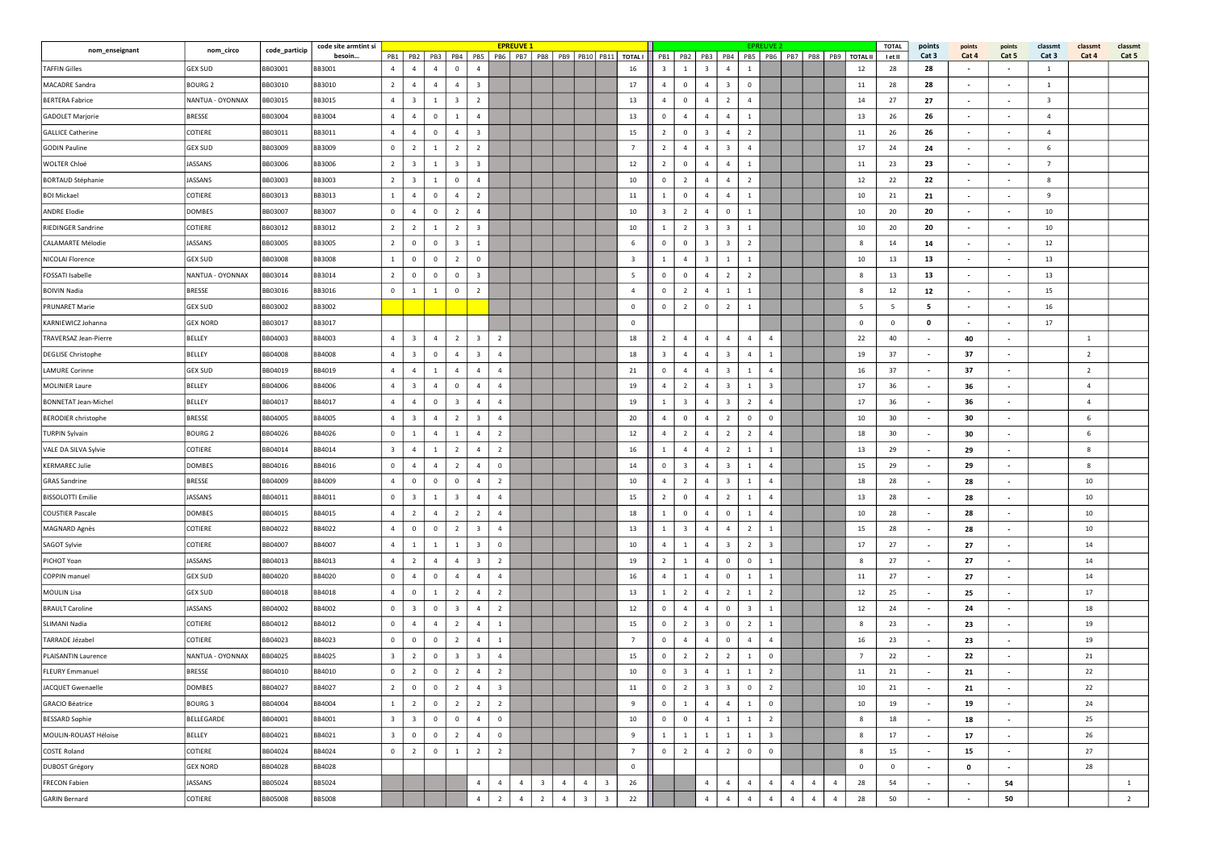| nom_enseignant               | nom_circo        | code_particip  | code site armtint si | <b>EPREUVE 1</b><br>PB1   PB2   PB3   PB4   PB5 |                         |                |                         |                         |                         |                |                         |                |                         |                         |                                                    |                         |                         |                         |                                                 |                         | EPREUVE 2                |                                  |                |                | <b>TOTAL</b>   | points                   | points                   | points                            | classmt                 | classmt        | classmt        |
|------------------------------|------------------|----------------|----------------------|-------------------------------------------------|-------------------------|----------------|-------------------------|-------------------------|-------------------------|----------------|-------------------------|----------------|-------------------------|-------------------------|----------------------------------------------------|-------------------------|-------------------------|-------------------------|-------------------------------------------------|-------------------------|--------------------------|----------------------------------|----------------|----------------|----------------|--------------------------|--------------------------|-----------------------------------|-------------------------|----------------|----------------|
| <b>TAFFIN Gilles</b>         | GEX SUD          | BB03001        | besoin<br>BB3001     | $\overline{4}$                                  | $\Delta$                | $\overline{a}$ | $\overline{0}$          | $\overline{a}$          |                         |                |                         |                |                         |                         | PB6   PB7   PB8   PB9   PB10   PB11   TOTALI<br>16 | $\overline{\mathbf{3}}$ | $\mathbf{1}$            | 3                       | PB1   PB2   PB3   PB4   PB5  <br>$\overline{4}$ | 1                       | PB6                      | PB7   PB8   PB9   TOTAL II       |                | 12             | I et II<br>28  | Cat 3<br>28              | Cat 4<br>$\sim$          | Cat 5<br>$\overline{\phantom{a}}$ | Cat 3<br>-1             | Cat 4          | Cat 5          |
| MACADRE Sandra               | <b>BOURG 2</b>   | BB03010        | BB3010               | $\overline{2}$                                  | $\overline{4}$          | $\overline{4}$ | $\overline{4}$          | $\overline{\mathbf{3}}$ |                         |                |                         |                |                         |                         | 17                                                 | $\overline{4}$          | $\mathbf{0}$            | $\overline{4}$          | $\overline{\mathbf{3}}$                         | $\mathbf{0}$            |                          |                                  |                | 11             | 28             | 28                       | $\sim$                   | $\sim$                            | 1                       |                |                |
| <b>BERTERA Fabrice</b>       | NANTUA - OYONNAX | <b>BB03015</b> | BB3015               | $\overline{4}$                                  | $\overline{\mathbf{3}}$ | 1              | $\overline{\mathbf{3}}$ | $\overline{2}$          |                         |                |                         |                |                         |                         | 13                                                 | $\overline{4}$          | $\mathbf 0$             | $\overline{4}$          | $\overline{2}$                                  | $\overline{a}$          |                          |                                  |                | 14             | 27             | 27                       | $\overline{\phantom{a}}$ | $\overline{\phantom{a}}$          | $\overline{\mathbf{3}}$ |                |                |
| <b>GADOLET Marjorie</b>      | <b>BRESSE</b>    | BB03004        | BB3004               | $\overline{4}$                                  | $\overline{4}$          | $\overline{0}$ | $\overline{1}$          | $\overline{4}$          |                         |                |                         |                |                         |                         | 13                                                 | $^{\circ}$              | $\overline{4}$          | $\overline{4}$          | $\overline{4}$                                  | $\mathbf{1}$            |                          |                                  |                | 13             | 26             | 26                       |                          | $\overline{\phantom{a}}$          | $\overline{a}$          |                |                |
| <b>GALLICE Catherine</b>     | COTIERE          | BB03011        | BB3011               | $\overline{4}$                                  | $\overline{4}$          | $\overline{0}$ | $\overline{4}$          | $\overline{\mathbf{3}}$ |                         |                |                         |                |                         |                         | 15                                                 | $\overline{2}$          | $\mathbf{0}$            | $\overline{\mathbf{3}}$ | $\overline{4}$                                  | $\overline{2}$          |                          |                                  |                | 11             | 26             | 26                       |                          | $\overline{\phantom{a}}$          | $\overline{4}$          |                |                |
| GODIN Pauline                | <b>GEX SUD</b>   | BB03009        | BB3009               | $\mathbf 0$                                     | $\overline{2}$          | $\overline{1}$ | $\overline{2}$          | $\overline{2}$          |                         |                |                         |                |                         |                         | $\overline{7}$                                     | $\overline{2}$          | $\overline{a}$          | $\overline{4}$          | $\overline{\mathbf{3}}$                         | $\overline{4}$          |                          |                                  |                | 17             | 24             | 24                       | $\sim$                   | $\overline{\phantom{a}}$          | 6                       |                |                |
| <b>WOLTER Chloé</b>          | JASSANS          | BB03006        | BB3006               | $\overline{2}$                                  | $\overline{\mathbf{3}}$ | 1              | $\overline{\mathbf{3}}$ | $\overline{\mathbf{3}}$ |                         |                |                         |                |                         |                         | 12                                                 | $\overline{2}$          | $\mathbf{0}$            | $\overline{4}$          | $\overline{4}$                                  | $\mathbf{1}$            |                          |                                  |                | 11             | 23             | 23                       | $\overline{\phantom{a}}$ | $\overline{\phantom{a}}$          | $\overline{7}$          |                |                |
| <b>BORTAUD Stéphanie</b>     | JASSANS          | BB03003        | BB3003               | $\overline{2}$                                  | $\overline{\mathbf{3}}$ | 1              | $\overline{0}$          | $\overline{a}$          |                         |                |                         |                |                         |                         | 10                                                 | $\mathbf{0}$            | $\overline{2}$          | $\overline{4}$          | $\overline{4}$                                  | $\overline{2}$          |                          |                                  |                | 12             | 22             | 22                       | $\overline{\phantom{a}}$ | $\sim$                            | 8                       |                |                |
| <b>BOI Mickael</b>           | COTIERE          | BB03013        | BB3013               | $\mathbf{1}$                                    | $\overline{4}$          | $\mathbf 0$    | $\overline{4}$          | <sup>2</sup>            |                         |                |                         |                |                         |                         | 11                                                 | 1                       | $\circ$                 | $\overline{4}$          | $\overline{4}$                                  | $\overline{1}$          |                          |                                  |                | 10             | 21             | 21                       | $\sim$                   | $\overline{\phantom{a}}$          | 9                       |                |                |
| <b>ANDRE Elodie</b>          | DOMBES           | BB03007        | BB3007               | $\mathbf{0}$                                    | $\overline{4}$          | $\overline{0}$ | $\overline{2}$          | $\overline{4}$          |                         |                |                         |                |                         |                         | 10                                                 | $\overline{\mathbf{3}}$ | $\overline{2}$          | $\overline{4}$          | $\overline{0}$                                  | <sup>1</sup>            |                          |                                  |                | 10             | 20             | 20                       |                          | $\overline{\phantom{a}}$          | 10                      |                |                |
| <b>RIEDINGER Sandrine</b>    | COTIERE          | BB03012        | BB3012               | $\overline{2}$                                  | 2                       | 1              | $\overline{2}$          | $\overline{\mathbf{3}}$ |                         |                |                         |                |                         |                         | 10                                                 | <sup>1</sup>            | $\overline{2}$          | $\overline{\mathbf{3}}$ | $\overline{\mathbf{3}}$                         | <sup>1</sup>            |                          |                                  |                | 10             | 20             | 20                       | $\overline{\phantom{a}}$ | $\overline{\phantom{a}}$          | 10                      |                |                |
| <b>CALAMARTE Mélodie</b>     | JASSANS          | BB03005        | BB3005               | $\overline{2}$                                  | $\mathbf{0}$            | $\overline{0}$ | $\overline{\mathbf{3}}$ | $\overline{1}$          |                         |                |                         |                |                         |                         | 6                                                  | $\mathbf 0$             | $\circ$                 | $\overline{\mathbf{3}}$ | $\overline{\mathbf{3}}$                         | $\overline{2}$          |                          |                                  |                | 8              | 14             | 14                       | $\sim$                   | $\overline{\phantom{a}}$          | 12                      |                |                |
| NICOLAI Florence             | <b>GEX SUD</b>   | BB03008        | <b>BB3008</b>        | $\mathbf{1}$                                    | $\overline{0}$          | $\overline{0}$ | $\overline{2}$          | $\overline{0}$          |                         |                |                         |                |                         |                         | $\overline{\mathbf{3}}$                            | $\mathbf{1}$            | $\overline{4}$          | $\overline{\mathbf{3}}$ | $\mathbf{1}$                                    | <sup>1</sup>            |                          |                                  |                | 10             | 13             | 13                       | $\overline{\phantom{a}}$ | $\overline{\phantom{a}}$          | 13                      |                |                |
| <b>FOSSATI Isabelle</b>      | NANTUA - OYONNAX | <b>BB03014</b> | BB3014               | $\overline{2}$                                  | $\circ$                 | $\mathbf{0}$   | $\overline{0}$          | $\overline{\mathbf{3}}$ |                         |                |                         |                |                         |                         | 5                                                  | $\mathbf{0}$            | $\mathbf 0$             | $\overline{4}$          | $\overline{2}$                                  | $\overline{2}$          |                          |                                  |                | 8              | 13             | 13                       | $\sim$                   | $\sim$                            | 13                      |                |                |
| <b>BOIVIN Nadia</b>          | <b>BRESSE</b>    | BB03016        | BB3016               | $\overline{0}$                                  | 1                       | 1              | $\overline{0}$          | $\overline{2}$          |                         |                |                         |                |                         |                         | $\overline{4}$                                     | $^{\circ}$              | $\overline{2}$          | $\overline{4}$          | $\mathbf{1}$                                    | <sup>1</sup>            |                          |                                  |                | 8              | 12             | 12                       | $\overline{\phantom{a}}$ | $\overline{\phantom{a}}$          | 15                      |                |                |
| <b>PRUNARET Marie</b>        | <b>GEX SUD</b>   | BB03002        | BB3002               |                                                 |                         |                |                         |                         |                         |                |                         |                |                         |                         | $\mathbf 0$                                        | $\overline{0}$          | $\overline{2}$          | $\overline{0}$          | $\overline{2}$                                  | <sup>1</sup>            |                          |                                  |                | 5              | 5              | 5                        | $\overline{\phantom{a}}$ | $\overline{\phantom{a}}$          | 16                      |                |                |
| KARNIEWICZ Johanna           | <b>GEX NORD</b>  | BB03017        | BB3017               |                                                 |                         |                |                         |                         |                         |                |                         |                |                         |                         | $^{\circ}$                                         |                         |                         |                         |                                                 |                         |                          |                                  |                | $\Omega$       | $\mathbf 0$    | $\Omega$                 | $\overline{\phantom{a}}$ | $\sim$                            | 17                      |                |                |
| <b>TRAVERSAZ Jean-Pierre</b> | <b>BELLEY</b>    | BB04003        | BB4003               | $\overline{4}$                                  | $\overline{\mathbf{3}}$ | $\overline{4}$ | $\overline{2}$          | $\overline{\mathbf{3}}$ | $\overline{2}$          |                |                         |                |                         |                         | 18                                                 | $\overline{2}$          | $\overline{a}$          | $\overline{4}$          | $\overline{4}$                                  | $\overline{4}$          | $\overline{4}$           |                                  |                | 22             | 40             |                          | 40                       |                                   |                         | $\overline{1}$ |                |
| <b>DEGLISE Christophe</b>    | BELLEY           | BB04008        | BB4008               | 4                                               | $\overline{\mathbf{3}}$ | $\mathbf{0}$   | $\overline{4}$          | $\overline{\mathbf{3}}$ | $\overline{a}$          |                |                         |                |                         |                         | 18                                                 | $\overline{\mathbf{3}}$ | $\overline{a}$          | $\overline{4}$          | $\overline{\mathbf{3}}$                         | $\overline{a}$          | <sup>1</sup>             |                                  |                | 19             | 37             | $\sim$                   | 37                       | $\overline{\phantom{a}}$          |                         | $\overline{2}$ |                |
| <b>LAMURE Corinne</b>        | <b>GEX SUD</b>   | BB04019        | BB4019               | 4                                               | $\overline{4}$          | 1              | $\overline{4}$          | $\overline{4}$          | $\overline{a}$          |                |                         |                |                         |                         | 21                                                 | $\mathbf{0}$            | $\overline{4}$          | $\overline{4}$          | $\overline{\mathbf{3}}$                         | <sup>1</sup>            | $\overline{4}$           |                                  |                | 16             | 37             | $\overline{\phantom{a}}$ | 37                       | $\sim$                            |                         | $\overline{2}$ |                |
| <b>MOLINIER Laure</b>        | <b>BELLEY</b>    | BB04006        | BB4006               | $\overline{4}$                                  | $\overline{\mathbf{3}}$ | $\overline{4}$ | $\overline{0}$          | $\overline{4}$          | $\overline{a}$          |                |                         |                |                         |                         | 19                                                 | $\overline{4}$          | $\overline{2}$          | $\overline{4}$          | $\overline{\mathbf{3}}$                         | -1                      | $\overline{\mathbf{3}}$  |                                  |                | 17             | 36             | $\overline{\phantom{a}}$ | 36                       | $\overline{\phantom{a}}$          |                         | $\overline{4}$ |                |
| <b>BONNETAT Jean-Michel</b>  | BELLEY           | BB04017        | BB4017               | $\overline{4}$                                  | $\overline{4}$          | $\mathbf 0$    | $\overline{\mathbf{3}}$ | $\overline{4}$          | $\overline{a}$          |                |                         |                |                         |                         | 19                                                 | <sup>1</sup>            | $\overline{\mathbf{3}}$ | $\overline{4}$          | $\overline{\mathbf{3}}$                         | $\overline{2}$          | $\overline{4}$           |                                  |                | 17             | 36             | $\sim$                   | 36                       | $\overline{\phantom{a}}$          |                         | $\overline{4}$ |                |
| <b>BERODIER</b> christophe   | <b>BRESSE</b>    | BB04005        | BB4005               | $\overline{4}$                                  | $\overline{\mathbf{3}}$ | $\overline{4}$ | $\overline{2}$          | $\overline{\mathbf{3}}$ | $\overline{a}$          |                |                         |                |                         |                         | 20                                                 | $\overline{a}$          | $\mathbf{0}$            | $\overline{4}$          | $\overline{2}$                                  | $\mathbf 0$             | $\mathbf 0$              |                                  |                | 10             | 30             | $\overline{\phantom{a}}$ | 30                       | $\overline{\phantom{a}}$          |                         | 6              |                |
| <b>TURPIN Sylvain</b>        | <b>BOURG 2</b>   | BB04026        | 3B4026               | $\overline{0}$                                  | <sup>1</sup>            | $\overline{4}$ | $\mathbf{1}$            | $\overline{4}$          | $\overline{2}$          |                |                         |                |                         |                         | 12                                                 | $\overline{4}$          | $\overline{2}$          | 4                       | $\overline{2}$                                  | $\overline{2}$          | $\overline{4}$           |                                  |                | 18             | 30             |                          | 30                       | $\overline{\phantom{a}}$          |                         | 6              |                |
| VALE DA SILVA Sylvie         | COTIERE          | BB04014        | BB4014               | $\overline{\mathbf{3}}$                         | $\overline{4}$          | $\mathbf{1}$   | $\overline{2}$          | $\overline{4}$          | $\overline{2}$          |                |                         |                |                         |                         | 16                                                 | <sup>1</sup>            | $\overline{a}$          | $\overline{4}$          | $\overline{2}$                                  | 1                       | <sup>1</sup>             |                                  |                | 13             | 29             | $\sim$                   | 29                       | $\overline{\phantom{a}}$          |                         | 8              |                |
| <b>KERMAREC Julie</b>        | <b>DOMBES</b>    | BB04016        | BB4016               | $\overline{0}$                                  | $\overline{4}$          | $\overline{4}$ | $\overline{2}$          | $\overline{4}$          | $\mathbf 0$             |                |                         |                |                         |                         | 14                                                 | $\mathbf{0}$            | $\overline{\mathbf{3}}$ | $\overline{4}$          | $\overline{\mathbf{3}}$                         | <sup>1</sup>            | $\overline{4}$           |                                  |                | 15             | 29             | $\overline{\phantom{a}}$ | 29                       | $\sim$                            |                         | 8              |                |
| <b>GRAS Sandrine</b>         | <b>BRESSE</b>    | BB04009        | 3B4009               | $\overline{4}$                                  | $\mathbf{0}$            | $\mathbf 0$    | $\overline{0}$          | $\overline{4}$          | $\overline{2}$          |                |                         |                |                         |                         | 10                                                 | $\overline{4}$          | $\overline{2}$          | $\overline{4}$          | $\overline{\mathbf{3}}$                         | -1                      | $\overline{4}$           |                                  |                | 18             | 28             | $\sim$                   | 28                       | $\sim$                            |                         | 10             |                |
| <b>BISSOLOTTI Emilie</b>     | <b>JASSANS</b>   | BB04011        | BB4011               | $\mathbf{0}$                                    | $\overline{\mathbf{3}}$ | $\overline{1}$ | $\overline{\mathbf{3}}$ | $\overline{4}$          | $\overline{a}$          |                |                         |                |                         |                         | 15                                                 | $\overline{2}$          | $\circ$                 | $\overline{4}$          | $\overline{2}$                                  | $\overline{1}$          | $\overline{4}$           |                                  |                | 13             | 28             | $\sim$                   | 28                       | $\overline{\phantom{a}}$          |                         | 10             |                |
| COUSTIER Pascale             | DOMBES           | BB04015        | BB4015               | 4                                               | $\overline{2}$          | $\overline{4}$ | $\overline{2}$          | $\overline{2}$          | $\overline{4}$          |                |                         |                |                         |                         | 18                                                 | $\mathbf{1}$            | $\mathbf 0$             | $\overline{4}$          | $\overline{0}$                                  | $\mathbf{1}$            | $\overline{4}$           |                                  |                | 10             | 28             | $\overline{\phantom{a}}$ | 28                       | $\overline{\phantom{a}}$          |                         | 10             |                |
| <b>MAGNARD Agnès</b>         | COTIERE          | BB04022        | BB4022               | 4                                               | $\mathbf 0$             | $\mathbf{0}$   | $\overline{2}$          | $\overline{\mathbf{3}}$ | $\overline{a}$          |                |                         |                |                         |                         | 13                                                 | <sup>1</sup>            | $\overline{\mathbf{3}}$ | $\overline{4}$          | $\overline{4}$                                  | $\overline{2}$          | <sup>1</sup>             |                                  |                | 15             | 28             | $\sim$                   | 28                       | $\overline{\phantom{a}}$          |                         | 10             |                |
| SAGOT Sylvie                 | COTIERE          | BB04007        | BB4007               | $\overline{4}$                                  | $\overline{1}$          | $\overline{1}$ | $\overline{1}$          | $\overline{\mathbf{3}}$ | $\mathbf 0$             |                |                         |                |                         |                         | 10                                                 | $\overline{4}$          | $\mathbf{1}$            | $\overline{4}$          | $\overline{\mathbf{3}}$                         | $\overline{2}$          | $\overline{\mathbf{3}}$  |                                  |                | 17             | 27             | $\overline{\phantom{a}}$ | 27                       | $\sim$                            |                         | 14             |                |
| PICHOT Yoan                  | JASSANS          | BB04013        | BB4013               | 4                                               | $\overline{2}$          | $\overline{4}$ | $\overline{4}$          | $\overline{\mathbf{3}}$ | $\overline{2}$          |                |                         |                |                         |                         | 19                                                 | $\overline{2}$          | $\mathbf{1}$            | $\overline{4}$          | $\overline{0}$                                  | $\overline{0}$          | 1                        |                                  |                | 8              | 27             | $\overline{\phantom{a}}$ | 27                       | $\overline{\phantom{a}}$          |                         | 14             |                |
| COPPIN manuel                | <b>GEX SUD</b>   | BB04020        | BB4020               | $\mathbf{0}$                                    | $\overline{4}$          | $\mathbf 0$    | $\overline{4}$          | $\overline{4}$          | $\overline{4}$          |                |                         |                |                         |                         | 16                                                 | $\overline{4}$          | 1                       | $\overline{4}$          | $\mathbf{0}$                                    | <sup>1</sup>            | $\mathbf{1}$             |                                  |                | 11             | 27             | $\sim$                   | 27                       | $\sim$                            |                         | 14             |                |
| <b>MOULIN Lisa</b>           | GEX SUD          | BB04018        | BB4018               | $\overline{4}$                                  | $\Omega$                | $\overline{1}$ | $\overline{2}$          | $\overline{4}$          | $\overline{2}$          |                |                         |                |                         |                         | 13                                                 | <sup>1</sup>            | $\overline{2}$          | $\overline{4}$          | $\overline{2}$                                  | $\overline{1}$          | $\overline{\phantom{a}}$ |                                  |                | 12             | 25             | $\sim$                   | 25                       | $\overline{\phantom{a}}$          |                         | 17             |                |
| <b>BRAULT Caroline</b>       | JASSANS          | BB04002        | BB4002               | $\overline{0}$                                  | $\overline{\mathbf{3}}$ | $\mathbf 0$    | $\overline{\mathbf{3}}$ | $\overline{4}$          | $\overline{2}$          |                |                         |                |                         |                         | 12                                                 | $^{\circ}$              | $\overline{4}$          | $\overline{4}$          | $\overline{0}$                                  | $\overline{\mathbf{3}}$ | $\mathbf{1}$             |                                  |                | 12             | 24             | $\overline{\phantom{a}}$ | 24                       | $\overline{\phantom{a}}$          |                         | 18             |                |
| SLIMANI Nadia                | COTIERE          | BB04012        | BB4012               | $\mathbf 0$                                     | $\overline{4}$          | $\overline{4}$ | $\overline{2}$          | $\overline{4}$          | 1                       |                |                         |                |                         |                         | 15                                                 | $\mathbf{0}$            | $\overline{2}$          | $\overline{\mathbf{3}}$ | $\mathbf{0}$                                    | $\overline{2}$          | <sup>1</sup>             |                                  |                | 8              | 23             |                          | 23                       | $\overline{\phantom{a}}$          |                         | 19             |                |
| TARRADE Jézabel              | COTIERE          | BB04023        | BB4023               | $\mathbf 0$                                     | $\mathbf 0$             | $^{\circ}$     | $\overline{2}$          | $\overline{a}$          | 1                       |                |                         |                |                         |                         | $\overline{7}$                                     | $^{\circ}$              | $\overline{4}$          | $\overline{4}$          | $\mathbf 0$                                     | $\overline{4}$          | $\overline{4}$           |                                  |                | 16             | 23             |                          | 23                       | $\overline{\phantom{a}}$          |                         | 19             |                |
| PLAISANTIN Laurence          | NANTUA - OYONNAX | BB04025        | BB4025               | $\overline{\mathbf{3}}$                         | $\overline{2}$          | $\mathbf{0}$   | $\overline{\mathbf{3}}$ | $\overline{\mathbf{3}}$ | $\overline{4}$          |                |                         |                |                         |                         | 15                                                 | $^{\circ}$              | $\overline{2}$          | $\overline{2}$          | $\overline{2}$                                  | 1                       | $\mathbf 0$              |                                  |                | $\overline{7}$ | 22             |                          | 22                       | $\overline{\phantom{a}}$          |                         | 21             |                |
| FLEURY Emmanuel              | <b>BRESSE</b>    | BB04010        | BB4010               | $\mathbf{0}$                                    | $\overline{2}$          | $\overline{0}$ | $\overline{2}$          | $\overline{4}$          | $\overline{2}$          |                |                         |                |                         |                         | 10                                                 | $^{\circ}$              | $\overline{\mathbf{3}}$ | $\overline{4}$          | $\mathbf{1}$                                    | $\mathbf{1}$            | $\overline{2}$           |                                  |                | 11             | 21             | $\sim$                   | 21                       | $\overline{\phantom{a}}$          |                         | 22             |                |
| JACQUET Gwenaelle            | DOMBES           | <b>BB04027</b> | <b>BB4027</b>        | $\overline{2}$                                  | $\overline{0}$          | $\overline{0}$ | $\overline{2}$          | $\overline{4}$          | $\overline{\mathbf{3}}$ |                |                         |                |                         |                         | 11                                                 | $\overline{0}$          | $\overline{2}$          | $\overline{\mathbf{3}}$ | $\overline{\mathbf{3}}$                         | $\overline{0}$          | $\overline{2}$           |                                  |                | 10             | 21             | $\sim$                   | 21                       | $\sim$                            |                         | $22\,$         |                |
| <b>GRACIO Béatrice</b>       | <b>BOURG 3</b>   | BB04004        | BB4004               | 1                                               | $\overline{2}$          | $\overline{0}$ | 2                       | $\overline{2}$          | $\overline{2}$          |                |                         |                |                         |                         | 9                                                  | $\circ$                 | $\mathbf{1}$            | $\overline{4}$          | $\overline{4}$                                  | $\mathbf{1}$            | $\overline{0}$           |                                  |                | 10             | 19             | $\sim$                   | 19                       | $\sim$                            |                         | 24             |                |
| <b>BESSARD Sophie</b>        | BELLEGARDE       | BB04001        | BB4001               | $\overline{\mathbf{3}}$                         | $\overline{\mathbf{3}}$ | $\overline{0}$ | $\overline{0}$          | $\overline{4}$          | $\mathbf{0}$            |                |                         |                |                         |                         | 10                                                 | $\overline{0}$          | $\mathbf 0$             | $\overline{4}$          | $\overline{1}$                                  | $\mathbf{1}$            | $\overline{2}$           |                                  |                | 8              | 18             | $\sim$                   | 18                       | $\sim$                            |                         | 25             |                |
| MOULIN-ROUAST Héloise        | <b>BELLEY</b>    | BB04021        | BB4021               | $\overline{\mathbf{3}}$                         | $\overline{0}$          | $\overline{0}$ | $\overline{2}$          | $\overline{4}$          | $\mathbf{0}$            |                |                         |                |                         |                         | 9                                                  | $\mathbf{1}$            | $\mathbf{1}$            | $\mathbf{1}$            | $\mathbf{1}$                                    | $\mathbf{1}$            | $\overline{\mathbf{3}}$  |                                  |                | 8              | 17             | $\sim$                   | 17                       | $\sim$                            |                         | 26             |                |
| COSTE Roland                 | COTIERE          | BB04024        | BB4024               | $\circ$                                         | $\overline{2}$          | $\circ$        | 1                       | $\overline{2}$          | $\overline{2}$          |                |                         |                |                         |                         | $\overline{7}$                                     | $\circ$                 | $\overline{2}$          | $\overline{4}$          | $\overline{2}$                                  | $\circ$                 | $\mathbf 0$              |                                  |                | 8              | 15             | $\sim$                   | 15                       | $\sim$                            |                         | 27             |                |
| DUBOST Grégory               | <b>GEX NORD</b>  | BB04028        | BB4028               |                                                 |                         |                |                         |                         |                         |                |                         |                |                         |                         | $\mathsf 0$                                        |                         |                         |                         |                                                 |                         |                          |                                  |                | $\mathbf 0$    | $\overline{0}$ | $\sim$                   | $\mathbf 0$              | $\sim$                            |                         | 28             |                |
| <b>FRECON Fabien</b>         | JASSANS          | BB05024        | BB5024               |                                                 |                         |                |                         | $\overline{4}$          | $\overline{4}$          | $\overline{a}$ | $\overline{\mathbf{3}}$ | $\overline{4}$ | $\overline{4}$          | $\overline{\mathbf{3}}$ | 26                                                 |                         |                         | $\overline{4}$          | $\overline{4}$                                  | $\overline{4}$          | $\overline{4}$           | $\overline{4}$<br>$\overline{4}$ | $\overline{4}$ | 28             | 54             | $\sim$                   | $\sim$                   | 54                                |                         |                | $\overline{1}$ |
| GARIN Bernard                | COTIERE          | <b>BB05008</b> | <b>BB5008</b>        |                                                 |                         |                |                         | $\overline{4}$          | $\overline{2}$          | $\overline{4}$ | $\overline{2}$          | $\overline{4}$ | $\overline{\mathbf{3}}$ | $\overline{\mathbf{3}}$ | 22                                                 |                         |                         | $\overline{4}$          | $\overline{4}$                                  | $\overline{a}$          | $\overline{4}$           | $\overline{4}$<br>$\overline{4}$ | $\overline{4}$ | 28             | 50             | $\sim$                   | $\sim$                   | 50                                |                         |                | 2              |